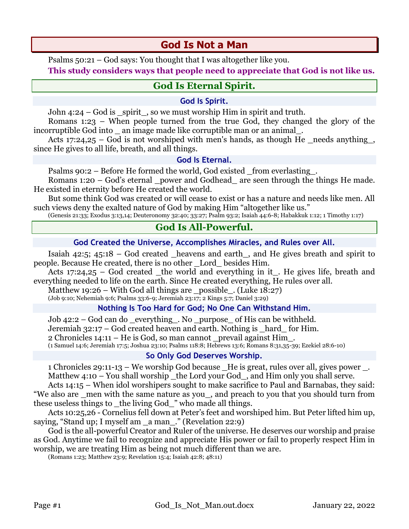# **God Is Not a Man**

Psalms 50:21 – God says: You thought that I was altogether like you.

**This study considers ways that people need to appreciate that God is not like us.**

## **God Is Eternal Spirit.**

### **God Is Spirit.**

John  $4:24$  – God is spirit, so we must worship Him in spirit and truth.

Romans 1:23 – When people turned from the true God, they changed the glory of the incorruptible God into \_ an image made like corruptible man or an animal\_.

Acts 17:24,25 – God is not worshiped with men's hands, as though He \_needs anything\_, since He gives to all life, breath, and all things.

### **God Is Eternal.**

Psalms 90:2 – Before He formed the world, God existed from everlasting.

Romans  $1:20 - God's$  eternal power and Godhead are seen through the things He made. He existed in eternity before He created the world.

But some think God was created or will cease to exist or has a nature and needs like men. All such views deny the exalted nature of God by making Him "altogether like us."

(Genesis 21:33; Exodus 3:13,14; Deuteronomy 32:40; 33:27; Psalm 93:2; Isaiah 44:6-8; Habakkuk 1:12; 1 Timothy 1:17)

### **God Is All-Powerful.**

### **God Created the Universe, Accomplishes Miracles, and Rules over All.**

Isaiah 42:5; 45:18 – God created heavens and earth, and He gives breath and spirit to people. Because He created, there is no other \_Lord\_ besides Him.

Acts 17:24,25 – God created the world and everything in it. He gives life, breath and everything needed to life on the earth. Since He created everything, He rules over all.

Matthew 19:26 – With God all things are \_possible\_. (Luke 18:27)

(Job 9:10; Nehemiah 9:6; Psalms 33:6-9; Jeremiah 23:17; 2 Kings 5:7; Daniel 3:29)

### **Nothing Is Too Hard for God; No One Can Withstand Him.**

Job 42:2 – God can do \_everything\_. No \_purpose\_ of His can be withheld. Jeremiah 32:17 – God created heaven and earth. Nothing is \_hard\_ for Him. 2 Chronicles 14:11 – He is God, so man cannot \_prevail against Him\_. (1 Samuel 14:6; Jeremiah 17:5; Joshua 23:10; Psalms 118:8; Hebrews 13:6; Romans 8:31,35-39; Ezekiel 28:6-10)

### **So Only God Deserves Worship.**

1 Chronicles 29:11-13 – We worship God because \_He is great, rules over all, gives power \_. Matthew  $4:10$  – You shall worship the Lord your God, and Him only you shall serve.

Acts 14:15 – When idol worshipers sought to make sacrifice to Paul and Barnabas, they said: "We also are \_men with the same nature as you\_, and preach to you that you should turn from these useless things to \_the living God\_" who made all things.

Acts 10:25,26 - Cornelius fell down at Peter's feet and worshiped him. But Peter lifted him up, saying, "Stand up; I myself am \_a man\_." (Revelation 22:9)

God is the all-powerful Creator and Ruler of the universe. He deserves our worship and praise as God. Anytime we fail to recognize and appreciate His power or fail to properly respect Him in worship, we are treating Him as being not much different than we are.

(Romans 1:23; Matthew 23:9; Revelation 15:4; Isaiah 42:8; 48:11)